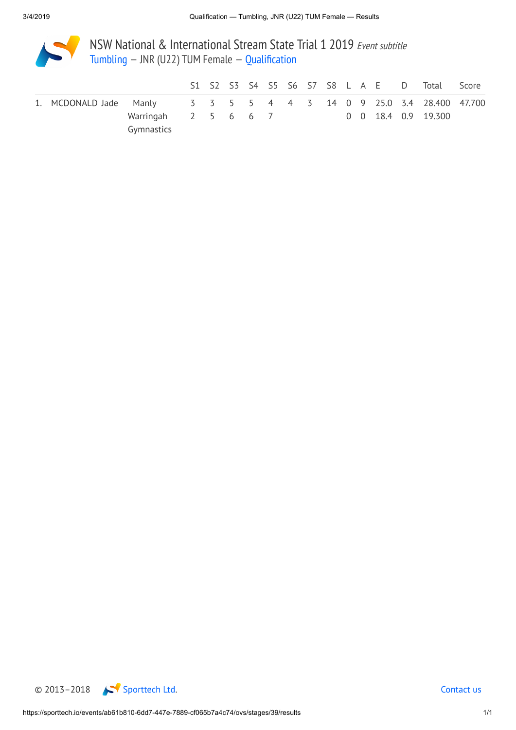

NSW National & International Stream State Trial 1 2019 Event subtitle [Tumbling](https://sporttech.io/events/ab61b810-6dd7-447e-7889-cf065b7a4c74/ovs/event/TUM) — JNR (U22) TUM Female — [Qualification](https://sporttech.io/events/ab61b810-6dd7-447e-7889-cf065b7a4c74/ovs/stages/39)

|                                                                    |                                         |  |  |  |  |  |  | S1 S2 S3 S4 S5 S6 S7 S8 L A E D Total Score |  |
|--------------------------------------------------------------------|-----------------------------------------|--|--|--|--|--|--|---------------------------------------------|--|
| 1. MCDONALD Jade Manly 3 3 5 5 4 4 3 14 0 9 25.0 3.4 28.400 47.700 |                                         |  |  |  |  |  |  |                                             |  |
|                                                                    | Warringah 2 5 6 6 7 0 0 18.4 0.9 19.300 |  |  |  |  |  |  |                                             |  |
|                                                                    | Gymnastics                              |  |  |  |  |  |  |                                             |  |

© 2013–2018 [Sporttech](https://sporttech.io/) Ltd. [Contact](mailto:support@sporttech.io?subject=sporttech.io) us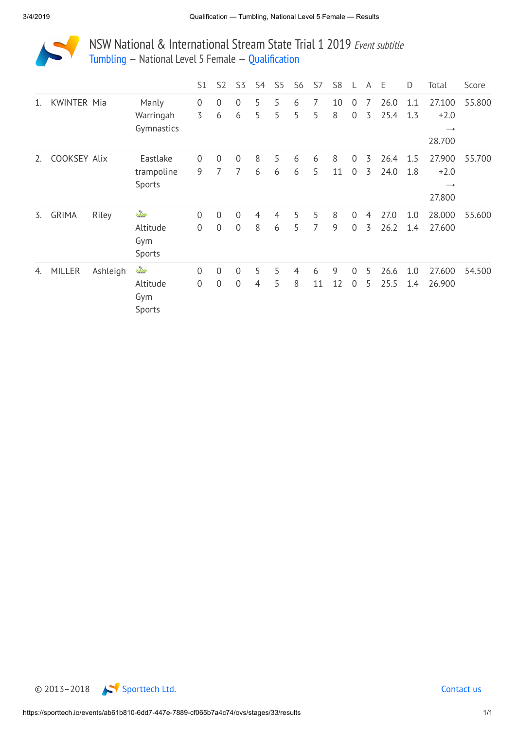

NSW National & International Stream State Trial 1 2019 Event subtitle [Tumbling](https://sporttech.io/events/ab61b810-6dd7-447e-7889-cf065b7a4c74/ovs/event/TUM) — National Level 5 Female — [Qualification](https://sporttech.io/events/ab61b810-6dd7-447e-7889-cf065b7a4c74/ovs/stages/33)

|    |                    |          |                                       | S1                            | S <sub>2</sub>                | S3                               | S4                  | S <sub>5</sub>      | S <sub>6</sub> | S7      | S <sub>8</sub> |                               | A      | E            | D          | Total                                       | Score  |
|----|--------------------|----------|---------------------------------------|-------------------------------|-------------------------------|----------------------------------|---------------------|---------------------|----------------|---------|----------------|-------------------------------|--------|--------------|------------|---------------------------------------------|--------|
| 1. | <b>KWINTER Mia</b> |          | Manly<br>Warringah<br>Gymnastics      | 0<br>3                        | 0<br>6                        | $\overline{0}$<br>6              | 5<br>5              | 5<br>5              | 6<br>5         | 7<br>5  | 10<br>8        | $\overline{0}$<br>$\mathbf 0$ | 7<br>3 | 26.0<br>25.4 | 1.1<br>1.3 | 27.100<br>$+2.0$<br>$\rightarrow$<br>28.700 | 55.800 |
| 2. | COOKSEY Alix       |          | Eastlake<br>trampoline<br>Sports      | $\overline{0}$<br>9           | $\mathbf 0$<br>$\overline{7}$ | $\mathbf 0$<br>7                 | 8<br>6              | 5<br>6              | 6<br>6         | 6<br>5  | 8<br>11        | $\mathbf 0$<br>$\overline{0}$ | 3<br>3 | 26.4<br>24.0 | 1.5<br>1.8 | 27.900<br>$+2.0$<br>$\rightarrow$<br>27.800 | 55.700 |
| 3. | <b>GRIMA</b>       | Riley    | altitude<br>Altitude<br>Gym<br>Sports | $\mathbf 0$<br>$\overline{0}$ | $\overline{0}$<br>$\mathbf 0$ | $\overline{0}$<br>$\Omega$       | $\overline{4}$<br>8 | $\overline{4}$<br>6 | 5<br>5         | 5<br>7  | 8<br>9         | $\overline{0}$<br>$\mathbf 0$ | 4<br>3 | 27.0<br>26.2 | 1.0<br>1.4 | 28.000<br>27.600                            | 55.600 |
| 4. | <b>MILLER</b>      | Ashleigh | altitude<br>Altitude<br>Gym<br>Sports | $\mathbf 0$<br>$\overline{0}$ | $\overline{0}$<br>$\mathbf 0$ | $\overline{0}$<br>$\overline{0}$ | 5<br>4              | 5<br>5              | 4<br>8         | 6<br>11 | 9<br>12        | $\overline{0}$<br>$\mathbf 0$ | 5<br>5 | 26.6<br>25.5 | 1.0<br>1.4 | 27.600<br>26.900                            | 54.500 |

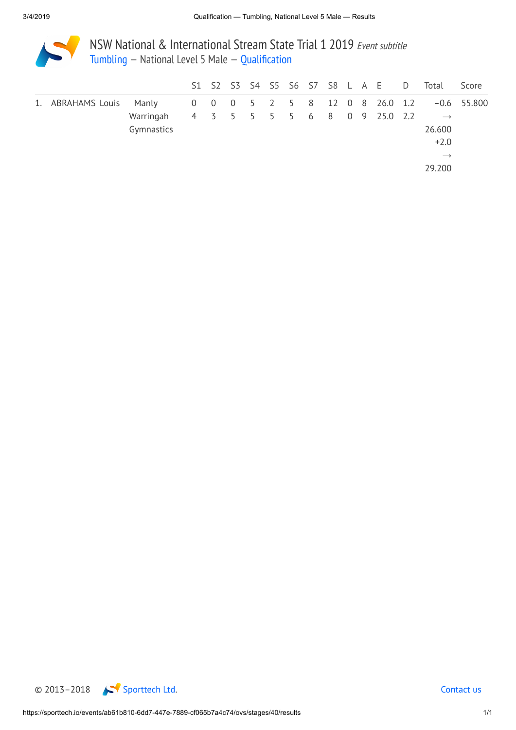

NSW National & International Stream State Trial 1 2019 Event subtitle [Tumbling](https://sporttech.io/events/ab61b810-6dd7-447e-7889-cf065b7a4c74/ovs/event/TUM) — National Level 5 Male — [Qualification](https://sporttech.io/events/ab61b810-6dd7-447e-7889-cf065b7a4c74/ovs/stages/40)

|                         |                         |  |  |  |  |  | S1 S2 S3 S4 S5 S6 S7 S8 L A E D                               | Total                                                            | Score         |
|-------------------------|-------------------------|--|--|--|--|--|---------------------------------------------------------------|------------------------------------------------------------------|---------------|
| 1. ABRAHAMS Louis Manly | Warringah<br>Gymnastics |  |  |  |  |  | 0 0 0 5 2 5 8 12 0 8 26.0 1.2<br>4 3 5 5 5 5 6 8 0 9 25.0 2.2 | $\longrightarrow$<br>26.600<br>$+2.0$<br>$\rightarrow$<br>29.200 | $-0.6$ 55.800 |

© 2013–2018 [Sporttech](https://sporttech.io/) Ltd. [Contact](mailto:support@sporttech.io?subject=sporttech.io) us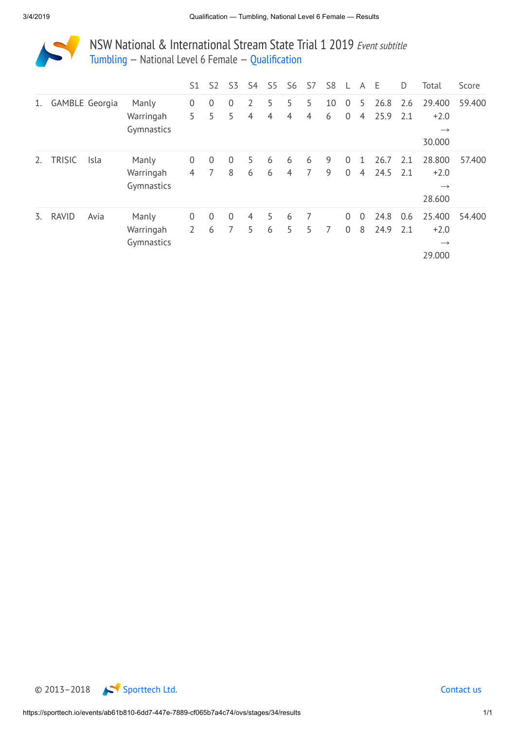

NSW National & International Stream State Trial 1 2019 Event subtitle [Tumbling](https://sporttech.io/events/ab61b810-6dd7-447e-7889-cf065b7a4c74/ovs/event/TUM) — National Level 6 Female — [Qualification](https://sporttech.io/events/ab61b810-6dd7-447e-7889-cf065b7a4c74/ovs/stages/34)

|    |               |                       |            | S1             | S <sub>2</sub> | S3             | S4 | S5             | S <sub>6</sub> | S7  | S <sub>8</sub> |                | A              | E    | D   | Total         | Score  |
|----|---------------|-----------------------|------------|----------------|----------------|----------------|----|----------------|----------------|-----|----------------|----------------|----------------|------|-----|---------------|--------|
| 1. |               | <b>GAMBLE Georgia</b> | Manly      | $\mathbf 0$    | $\overline{0}$ | $\overline{0}$ | 2  | 5.             | 5              | 5   | 10             | $\overline{0}$ | 5              | 26.8 | 2.6 | 29.400        | 59.400 |
|    |               |                       | Warringah  | 5              | 5              | 5              | 4  | $\overline{4}$ | $\overline{4}$ | 4   | 6              | $\theta$       | 4              | 25.9 | 2.1 | $+2.0$        |        |
|    |               |                       | Gymnastics |                |                |                |    |                |                |     |                |                |                |      |     | $\rightarrow$ |        |
|    |               |                       |            |                |                |                |    |                |                |     |                |                |                |      |     | 30.000        |        |
| 2. | <b>TRISIC</b> | Isla                  | Manly      | $\mathbf 0$    | $\overline{0}$ | $\overline{0}$ | 5  | 6              | 6              | 6   | 9              | $\overline{0}$ |                | 26.7 | 2.1 | 28.800        | 57.400 |
|    |               |                       | Warringah  | $\overline{4}$ | 7              | 8              | 6  | 6              | $\overline{4}$ | 7   | 9              | $\overline{0}$ | $\overline{4}$ | 24.5 | 2.1 | $+2.0$        |        |
|    |               |                       | Gymnastics |                |                |                |    |                |                |     |                |                |                |      |     | $\rightarrow$ |        |
|    |               |                       |            |                |                |                |    |                |                |     |                |                |                |      |     | 28.600        |        |
| 3. | <b>RAVID</b>  | Avia                  | Manly      | $\mathbf 0$    | $\overline{0}$ | $\overline{0}$ | 4  | 5              | 6              | - 7 |                | $\overline{0}$ | $\overline{0}$ | 24.8 | 0.6 | 25.400        | 54.400 |
|    |               |                       | Warringah  | 2              | 6              | 7              | 5. | 6              | 5              | 5   | 7              | $\overline{0}$ | 8              | 24.9 | 2.1 | $+2.0$        |        |
|    |               |                       | Gymnastics |                |                |                |    |                |                |     |                |                |                |      |     | $\rightarrow$ |        |
|    |               |                       |            |                |                |                |    |                |                |     |                |                |                |      |     | 29.000        |        |

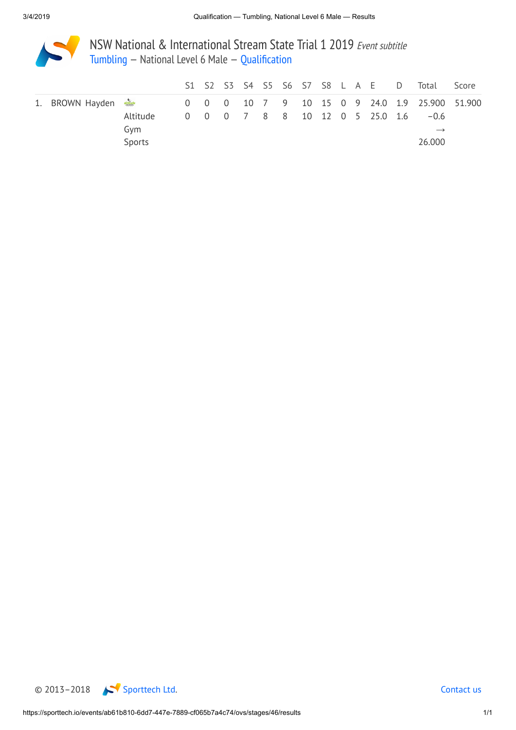

NSW National & International Stream State Trial 1 2019 Event subtitle [Tumbling](https://sporttech.io/events/ab61b810-6dd7-447e-7889-cf065b7a4c74/ovs/event/TUM) — National Level 6 Male — [Qualification](https://sporttech.io/events/ab61b810-6dd7-447e-7889-cf065b7a4c74/ovs/stages/46)

|                                                                         |                 |  |  |  |  |  |                                | S1 S2 S3 S4 S5 S6 S7 S8 L A E D Total | Score |
|-------------------------------------------------------------------------|-----------------|--|--|--|--|--|--------------------------------|---------------------------------------|-------|
| 1. BROWN Hayden 3. 25.900 10 10 10 7 9 10 15 0 9 24.0 1.9 25.900 51.900 |                 |  |  |  |  |  |                                |                                       |       |
|                                                                         | Altitude<br>Gvm |  |  |  |  |  | 0 0 0 7 8 8 10 12 0 5 25.0 1.6 | $-0.6$<br>$\rightarrow$               |       |
|                                                                         | Sports          |  |  |  |  |  |                                | 26.000                                |       |

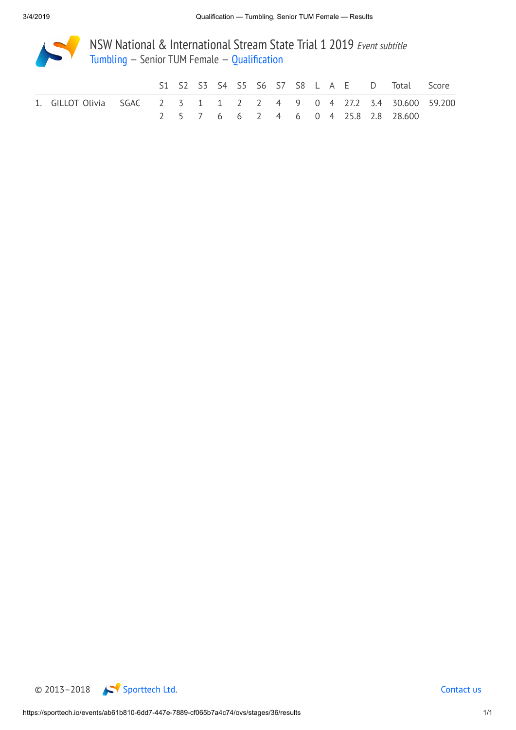

NSW National & International Stream State Trial 1 2019 Event subtitle [Tumbling](https://sporttech.io/events/ab61b810-6dd7-447e-7889-cf065b7a4c74/ovs/event/TUM) — Senior TUM Female — [Qualification](https://sporttech.io/events/ab61b810-6dd7-447e-7889-cf065b7a4c74/ovs/stages/36)

|                                                                  |  |  |  |  |  |  | S1 S2 S3 S4 S5 S6 S7 S8 L A E D Total Score |  |
|------------------------------------------------------------------|--|--|--|--|--|--|---------------------------------------------|--|
| 1. GILLOT Olivia SGAC 2 3 1 1 2 2 4 9 0 4 27.2 3.4 30.600 59.200 |  |  |  |  |  |  |                                             |  |
|                                                                  |  |  |  |  |  |  | 2 5 7 6 6 2 4 6 0 4 25.8 2.8 28.600         |  |

© 2013–2018 [Sporttech](https://sporttech.io/) Ltd. [Contact](mailto:support@sporttech.io?subject=sporttech.io) us